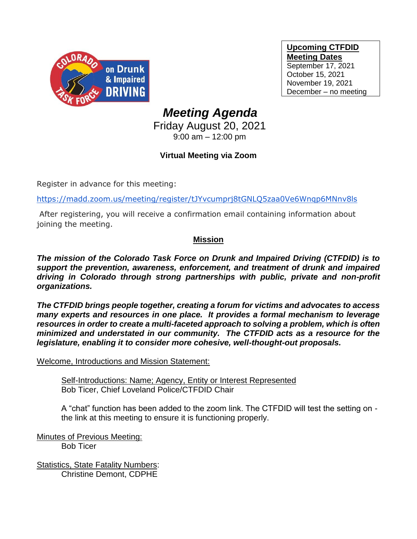

**Upcoming CTFDID Meeting Dates** September 17, 2021 October 15, 2021 November 19, 2021 December – no meeting

# *Meeting Agenda*

Friday August 20, 2021 9:00 am – 12:00 pm

## **Virtual Meeting via Zoom**

Register in advance for this meeting:

[https://madd.zoom.us/meeting/register/tJYvcumprj8tGNLQ5zaa0Ve6Wnqp6MNnv8ls](https://urldefense.com/v3/__https:/madd.zoom.us/meeting/register/tJYvcumprj8tGNLQ5zaa0Ve6Wnqp6MNnv8ls__;!!PUG2raq7KiCZwBk!LRCzoOt9jpqQFXCYCGx3ntoRCv-htZASwN6XbZjrQQ_xN9QRrv9UA2rqZJAilINuRFK8xQ$)

After registering, you will receive a confirmation email containing information about joining the meeting.

### **Mission**

*The mission of the Colorado Task Force on Drunk and Impaired Driving (CTFDID) is to support the prevention, awareness, enforcement, and treatment of drunk and impaired driving in Colorado through strong partnerships with public, private and non-profit organizations.* 

*The CTFDID brings people together, creating a forum for victims and advocates to access many experts and resources in one place. It provides a formal mechanism to leverage resources in order to create a multi-faceted approach to solving a problem, which is often minimized and understated in our community. The CTFDID acts as a resource for the legislature, enabling it to consider more cohesive, well-thought-out proposals.* 

Welcome, Introductions and Mission Statement:

Self-Introductions: Name; Agency, Entity or Interest Represented Bob Ticer, Chief Loveland Police/CTFDID Chair

A "chat" function has been added to the zoom link. The CTFDID will test the setting on the link at this meeting to ensure it is functioning properly.

Minutes of Previous Meeting: Bob Ticer

Statistics, State Fatality Numbers: Christine Demont, CDPHE